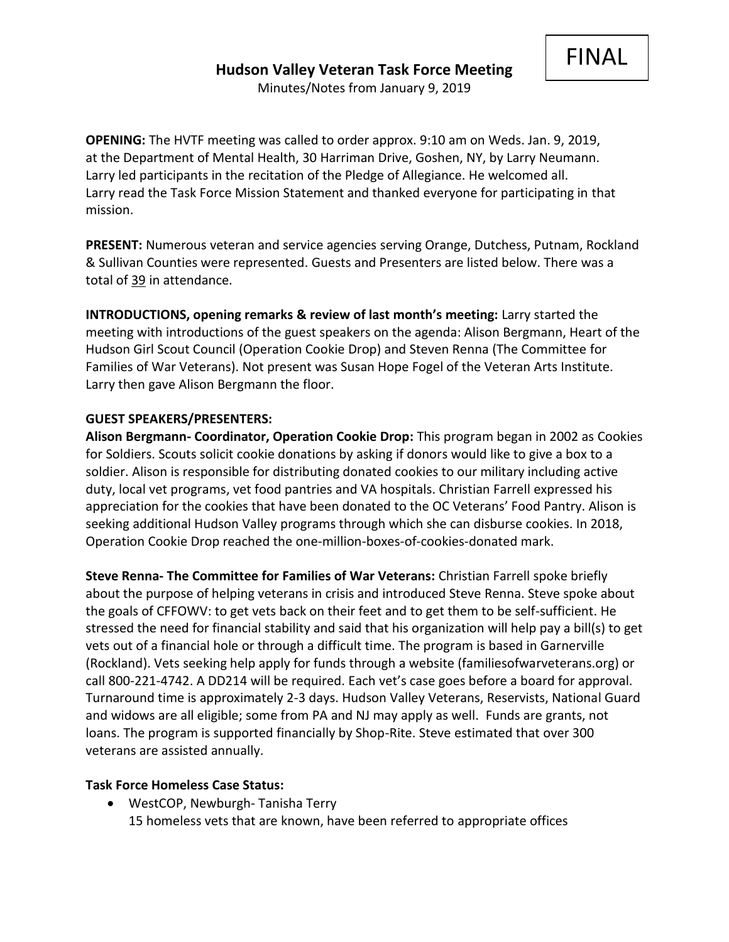FINAL

**OPENING:** The HVTF meeting was called to order approx. 9:10 am on Weds. Jan. 9, 2019, at the Department of Mental Health, 30 Harriman Drive, Goshen, NY, by Larry Neumann. Larry led participants in the recitation of the Pledge of Allegiance. He welcomed all. Larry read the Task Force Mission Statement and thanked everyone for participating in that mission.

**PRESENT:** Numerous veteran and service agencies serving Orange, Dutchess, Putnam, Rockland & Sullivan Counties were represented. Guests and Presenters are listed below. There was a total of 39 in attendance.

**INTRODUCTIONS, opening remarks & review of last month's meeting:** Larry started the meeting with introductions of the guest speakers on the agenda: Alison Bergmann, Heart of the Hudson Girl Scout Council (Operation Cookie Drop) and Steven Renna (The Committee for Families of War Veterans). Not present was Susan Hope Fogel of the Veteran Arts Institute. Larry then gave Alison Bergmann the floor.

## **GUEST SPEAKERS/PRESENTERS:**

**Alison Bergmann- Coordinator, Operation Cookie Drop:** This program began in 2002 as Cookies for Soldiers. Scouts solicit cookie donations by asking if donors would like to give a box to a soldier. Alison is responsible for distributing donated cookies to our military including active duty, local vet programs, vet food pantries and VA hospitals. Christian Farrell expressed his appreciation for the cookies that have been donated to the OC Veterans' Food Pantry. Alison is seeking additional Hudson Valley programs through which she can disburse cookies. In 2018, Operation Cookie Drop reached the one-million-boxes-of-cookies-donated mark.

**Steve Renna- The Committee for Families of War Veterans:** Christian Farrell spoke briefly about the purpose of helping veterans in crisis and introduced Steve Renna. Steve spoke about the goals of CFFOWV: to get vets back on their feet and to get them to be self-sufficient. He stressed the need for financial stability and said that his organization will help pay a bill(s) to get vets out of a financial hole or through a difficult time. The program is based in Garnerville (Rockland). Vets seeking help apply for funds through a website (familiesofwarveterans.org) or call 800-221-4742. A DD214 will be required. Each vet's case goes before a board for approval. Turnaround time is approximately 2-3 days. Hudson Valley Veterans, Reservists, National Guard and widows are all eligible; some from PA and NJ may apply as well. Funds are grants, not loans. The program is supported financially by Shop-Rite. Steve estimated that over 300 veterans are assisted annually.

#### **Task Force Homeless Case Status:**

• WestCOP, Newburgh- Tanisha Terry 15 homeless vets that are known, have been referred to appropriate offices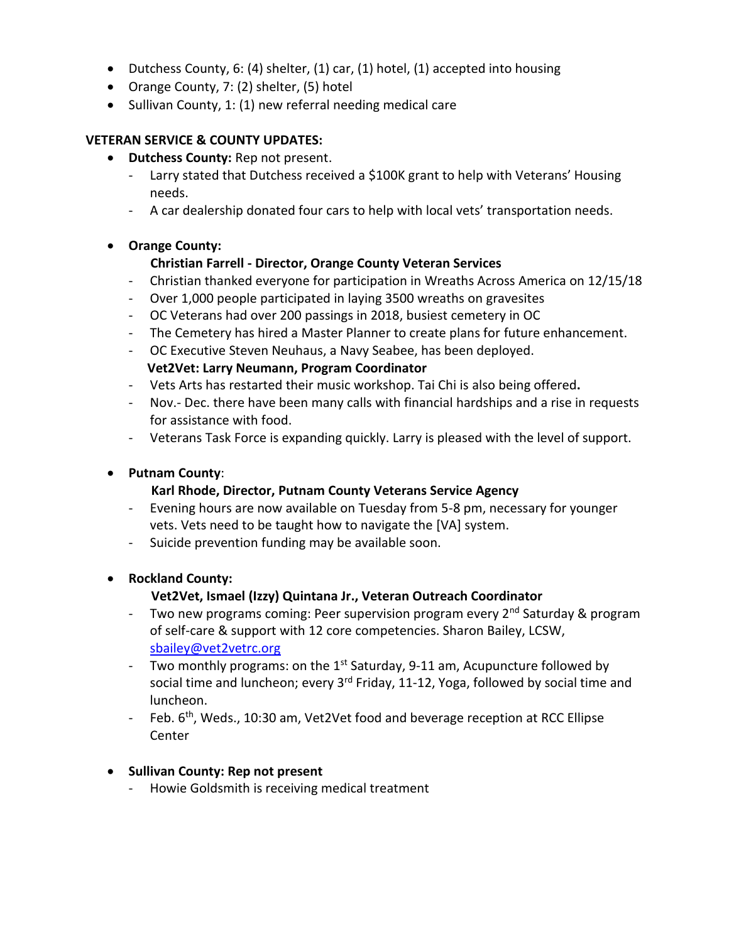- Dutchess County, 6: (4) shelter, (1) car, (1) hotel, (1) accepted into housing
- Orange County, 7: (2) shelter, (5) hotel
- Sullivan County, 1: (1) new referral needing medical care

## **VETERAN SERVICE & COUNTY UPDATES:**

- **Dutchess County:** Rep not present.
	- Larry stated that Dutchess received a \$100K grant to help with Veterans' Housing needs.
	- A car dealership donated four cars to help with local vets' transportation needs.

## • **Orange County:**

## **Christian Farrell - Director, Orange County Veteran Services**

- Christian thanked everyone for participation in Wreaths Across America on 12/15/18
- Over 1,000 people participated in laying 3500 wreaths on gravesites
- OC Veterans had over 200 passings in 2018, busiest cemetery in OC
- The Cemetery has hired a Master Planner to create plans for future enhancement.
- OC Executive Steven Neuhaus, a Navy Seabee, has been deployed. **Vet2Vet: Larry Neumann, Program Coordinator**
- Vets Arts has restarted their music workshop. Tai Chi is also being offered**.**
- Nov.- Dec. there have been many calls with financial hardships and a rise in requests for assistance with food.
- Veterans Task Force is expanding quickly. Larry is pleased with the level of support.

#### • **Putnam County**:

#### **Karl Rhode, Director, Putnam County Veterans Service Agency**

- Evening hours are now available on Tuesday from 5-8 pm, necessary for younger vets. Vets need to be taught how to navigate the [VA] system.
- Suicide prevention funding may be available soon.

#### • **Rockland County:**

## **Vet2Vet, Ismael (Izzy) Quintana Jr., Veteran Outreach Coordinator**

- Two new programs coming: Peer supervision program every 2<sup>nd</sup> Saturday & program of self-care & support with 12 core competencies. Sharon Bailey, LCSW, [sbailey@vet2vetrc.org](mailto:sbailey@vet2vetrc.org)
- Two monthly programs: on the  $1<sup>st</sup>$  Saturday, 9-11 am, Acupuncture followed by social time and luncheon; every  $3^{rd}$  Friday, 11-12, Yoga, followed by social time and luncheon.
- Feb.  $6^{th}$ , Weds., 10:30 am, Vet2Vet food and beverage reception at RCC Ellipse Center

#### • **Sullivan County: Rep not present**

- Howie Goldsmith is receiving medical treatment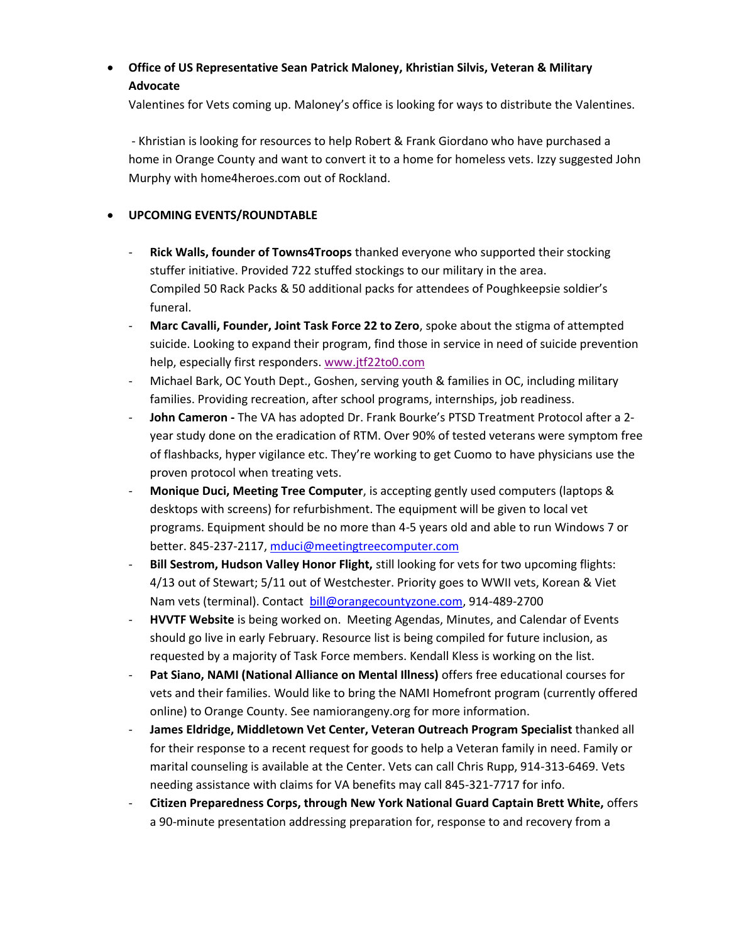# • **Office of US Representative Sean Patrick Maloney, Khristian Silvis, Veteran & Military Advocate**

Valentines for Vets coming up. Maloney's office is looking for ways to distribute the Valentines.

- Khristian is looking for resources to help Robert & Frank Giordano who have purchased a home in Orange County and want to convert it to a home for homeless vets. Izzy suggested John Murphy with home4heroes.com out of Rockland.

#### • **UPCOMING EVENTS/ROUNDTABLE**

- **Rick Walls, founder of Towns4Troops** thanked everyone who supported their stocking stuffer initiative. Provided 722 stuffed stockings to our military in the area. Compiled 50 Rack Packs & 50 additional packs for attendees of Poughkeepsie soldier's funeral.
- **Marc Cavalli, Founder, Joint Task Force 22 to Zero**, spoke about the stigma of attempted suicide. Looking to expand their program, find those in service in need of suicide prevention help, especially first responders[. www.jtf22to0.com](http://www.jtf22to0.com/)
- Michael Bark, OC Youth Dept., Goshen, serving youth & families in OC, including military families. Providing recreation, after school programs, internships, job readiness.
- **John Cameron -** The VA has adopted Dr. Frank Bourke's PTSD Treatment Protocol after a 2 year study done on the eradication of RTM. Over 90% of tested veterans were symptom free of flashbacks, hyper vigilance etc. They're working to get Cuomo to have physicians use the proven protocol when treating vets.
- **Monique Duci, Meeting Tree Computer**, is accepting gently used computers (laptops & desktops with screens) for refurbishment. The equipment will be given to local vet programs. Equipment should be no more than 4-5 years old and able to run Windows 7 or better. 845-237-2117, [mduci@meetingtreecomputer.com](mailto:mduci@meetingtreecomputer.com)
- **Bill Sestrom, Hudson Valley Honor Flight,** still looking for vets for two upcoming flights: 4/13 out of Stewart; 5/11 out of Westchester. Priority goes to WWII vets, Korean & Viet Nam vets (terminal). Contact [bill@orangecountyzone.com,](mailto:bill@orangecountyzone.com) 914-489-2700
- **HVVTF Website** is being worked on. Meeting Agendas, Minutes, and Calendar of Events should go live in early February. Resource list is being compiled for future inclusion, as requested by a majority of Task Force members. Kendall Kless is working on the list.
- **Pat Siano, NAMI (National Alliance on Mental Illness)** offers free educational courses for vets and their families. Would like to bring the NAMI Homefront program (currently offered online) to Orange County. See namiorangeny.org for more information.
- **James Eldridge, Middletown Vet Center, Veteran Outreach Program Specialist** thanked all for their response to a recent request for goods to help a Veteran family in need. Family or marital counseling is available at the Center. Vets can call Chris Rupp, 914-313-6469. Vets needing assistance with claims for VA benefits may call 845-321-7717 for info.
- **Citizen Preparedness Corps, through New York National Guard Captain Brett White,** offers a 90-minute presentation addressing preparation for, response to and recovery from a